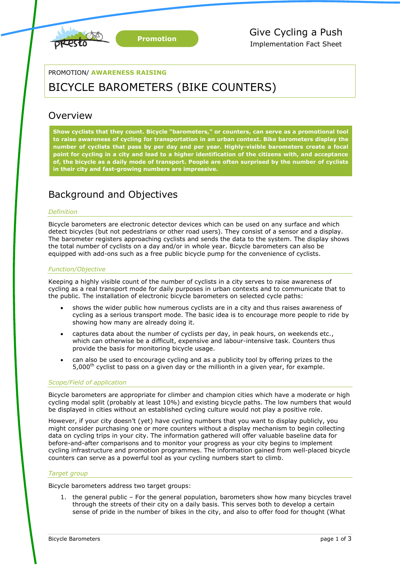

### PROMOTION/ **AWARENESS RAISING**

# BICYCLE BAROMETERS (BIKE COUNTERS)

# **Overview**

**Show cyclists that they count. Bicycle "barometers," or counters, can serve as a promotional tool to raise awareness of cycling for transportation in an urban context. Bike barometers display the number of cyclists that pass by per day and per year. Highly-visible barometers create a focal point for cycling in a city and lead to a higher identification of the citizens with, and acceptance of, the bicycle as a daily mode of transport. People are often surprised by the number of cyclists in their city and fast-growing numbers are impressive.** 

# Background and Objectives

#### *Definition*

Bicycle barometers are electronic detector devices which can be used on any surface and which detect bicycles (but not pedestrians or other road users). They consist of a sensor and a display. The barometer registers approaching cyclists and sends the data to the system. The display shows the total number of cyclists on a day and/or in whole year. Bicycle barometers can also be equipped with add-ons such as a free public bicycle pump for the convenience of cyclists.

#### *Function/Objective*

Keeping a highly visible count of the number of cyclists in a city serves to raise awareness of cycling as a real transport mode for daily purposes in urban contexts and to communicate that to the public. The installation of electronic bicycle barometers on selected cycle paths:

- shows the wider public how numerous cyclists are in a city and thus raises awareness of cycling as a serious transport mode. The basic idea is to encourage more people to ride by showing how many are already doing it.
- captures data about the number of cyclists per day, in peak hours, on weekends etc., which can otherwise be a difficult, expensive and labour-intensive task. Counters thus provide the basis for monitoring bicycle usage.
- can also be used to encourage cycling and as a publicity tool by offering prizes to the  $5,000<sup>th</sup>$  cyclist to pass on a given day or the millionth in a given year, for example.

#### *Scope/Field of application*

Bicycle barometers are appropriate for climber and champion cities which have a moderate or high cycling modal split (probably at least 10%) and existing bicycle paths. The low numbers that would be displayed in cities without an established cycling culture would not play a positive role.

However, if your city doesn't (yet) have cycling numbers that you want to display publicly, you might consider purchasing one or more counters without a display mechanism to begin collecting data on cycling trips in your city. The information gathered will offer valuable baseline data for before-and-after comparisons and to monitor your progress as your city begins to implement cycling infrastructure and promotion programmes. The information gained from well-placed bicycle counters can serve as a powerful tool as your cycling numbers start to climb.

#### *Target group*

Bicycle barometers address two target groups:

1. the general public – For the general population, barometers show how many bicycles travel through the streets of their city on a daily basis. This serves both to develop a certain sense of pride in the number of bikes in the city, and also to offer food for thought (What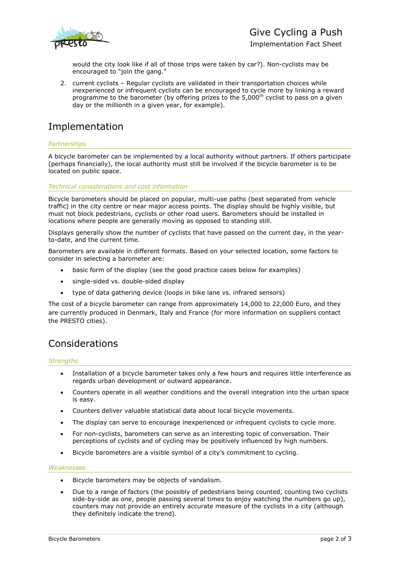

Implementation Fact Sheet

would the city look like if all of those trips were taken by car?). Non-cyclists may be encouraged to "join the gang."

2. current cyclists – Regular cyclists are validated in their transportation choices while inexperienced or infrequent cyclists can be encouraged to cycle more by linking a reward programme to the barometer (by offering prizes to the  $5,000$ <sup>th</sup> cyclist to pass on a given day or the millionth in a given year, for example).

# Implementation

### *Partnerships*

A bicycle barometer can be implemented by a local authority without partners. If others participate (perhaps financially), the local authority must still be involved if the bicycle barometer is to be located on public space.

*Technical considerations and cost information*

Bicycle barometers should be placed on popular, multi-use paths (best separated from vehicle traffic) in the city centre or near major access points. The display should be highly visible, but must not block pedestrians, cyclists or other road users. Barometers should be installed in locations where people are generally moving as opposed to standing still.

Displays generally show the number of cyclists that have passed on the current day, in the yearto-date, and the current time.

Barometers are available in different formats. Based on your selected location, some factors to consider in selecting a barometer are:

- basic form of the display (see the good practice cases below for examples)
- single-sided vs. double-sided display
- type of data gathering device (loops in bike lane vs. infrared sensors)

The cost of a bicycle barometer can range from approximately 14,000 to 22,000 Euro, and they are currently produced in Denmark, Italy and France (for more information on suppliers contact the PRESTO cities).

# Considerations

### *Strengths*

- Installation of a bicycle barometer takes only a few hours and requires little interference as regards urban development or outward appearance.
- Counters operate in all weather conditions and the overall integration into the urban space is easy.
- Counters deliver valuable statistical data about local bicycle movements.
- The display can serve to encourage inexperienced or infrequent cyclists to cycle more.
- For non-cyclists, barometers can serve as an interesting topic of conversation. Their perceptions of cyclists and of cycling may be positively influenced by high numbers.
- Bicycle barometers are a visible symbol of a city's commitment to cycling.

### *Weaknesses*

- Bicycle barometers may be objects of vandalism.
- Due to a range of factors (the possibly of pedestrians being counted, counting two cyclists side-by-side as one, people passing several times to enjoy watching the numbers go up), counters may not provide an entirely accurate measure of the cyclists in a city (although they definitely indicate the trend).